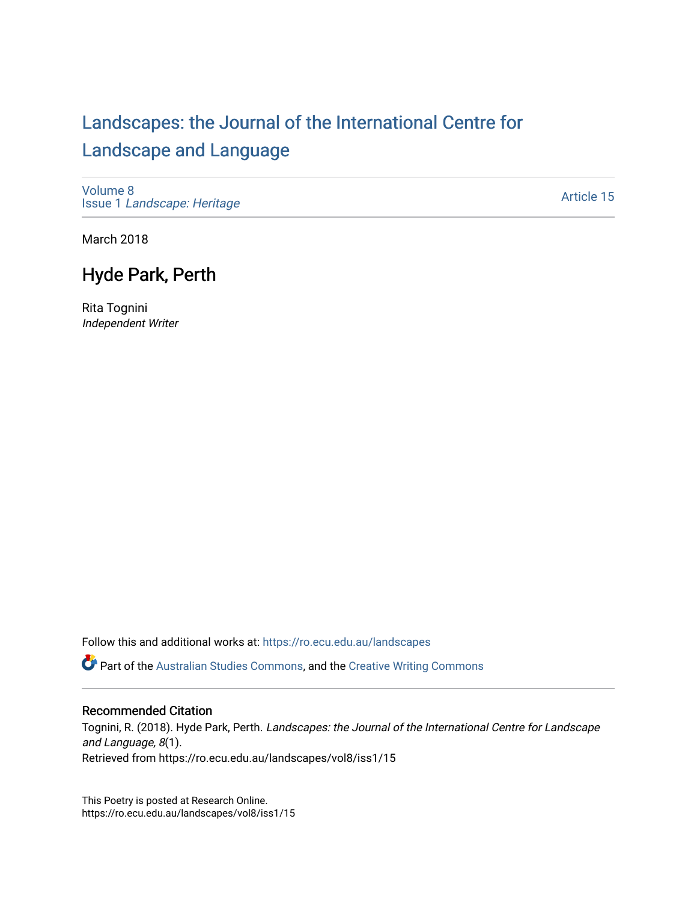## [Landscapes: the Journal of the International Centre for](https://ro.ecu.edu.au/landscapes) [Landscape and Language](https://ro.ecu.edu.au/landscapes)

[Volume 8](https://ro.ecu.edu.au/landscapes/vol8) Issue 1 [Landscape: Heritage](https://ro.ecu.edu.au/landscapes/vol8/iss1)

[Article 15](https://ro.ecu.edu.au/landscapes/vol8/iss1/15) 

March 2018

## Hyde Park, Perth

Rita Tognini Independent Writer

Follow this and additional works at: [https://ro.ecu.edu.au/landscapes](https://ro.ecu.edu.au/landscapes?utm_source=ro.ecu.edu.au%2Flandscapes%2Fvol8%2Fiss1%2F15&utm_medium=PDF&utm_campaign=PDFCoverPages) 

**Part of the [Australian Studies Commons](http://network.bepress.com/hgg/discipline/1020?utm_source=ro.ecu.edu.au%2Flandscapes%2Fvol8%2Fiss1%2F15&utm_medium=PDF&utm_campaign=PDFCoverPages), and the [Creative Writing Commons](http://network.bepress.com/hgg/discipline/574?utm_source=ro.ecu.edu.au%2Flandscapes%2Fvol8%2Fiss1%2F15&utm_medium=PDF&utm_campaign=PDFCoverPages)** 

## Recommended Citation

Tognini, R. (2018). Hyde Park, Perth. Landscapes: the Journal of the International Centre for Landscape and Language, 8(1). Retrieved from https://ro.ecu.edu.au/landscapes/vol8/iss1/15

This Poetry is posted at Research Online. https://ro.ecu.edu.au/landscapes/vol8/iss1/15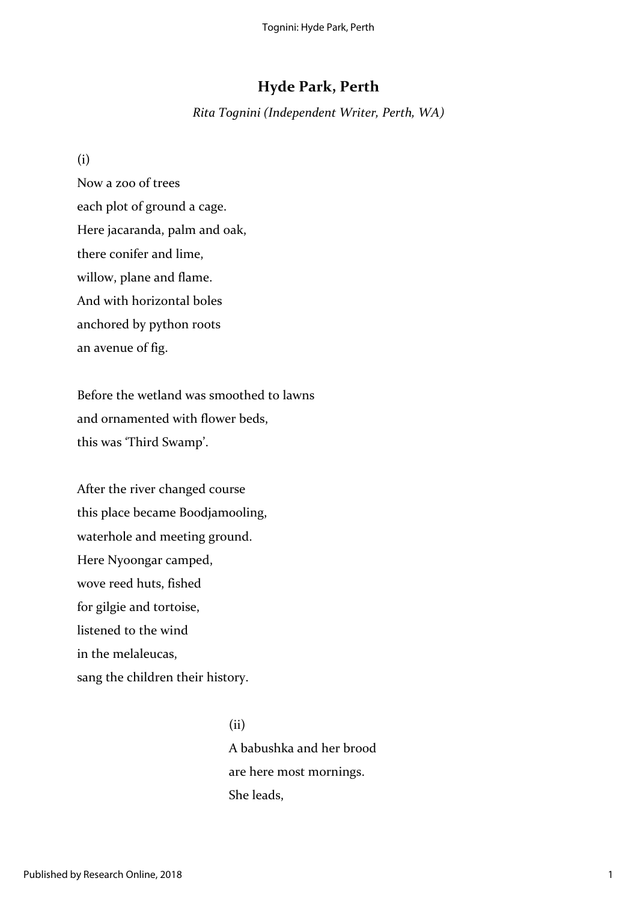## **Hyde Park, Perth**

*Rita Tognini (Independent Writer, Perth, WA)*

(i)

Now a zoo of trees each plot of ground a cage. Here jacaranda, palm and oak, there conifer and lime, willow, plane and flame. And with horizontal boles anchored by python roots an avenue of fig.

Before the wetland was smoothed to lawns and ornamented with flower beds, this was 'Third Swamp'.

After the river changed course this place became Boodjamooling, waterhole and meeting ground. Here Nyoongar camped, wove reed huts, fished for gilgie and tortoise, listened to the wind in the melaleucas, sang the children their history.

> A babushka and her brood are here most mornings. She leads,

(ii)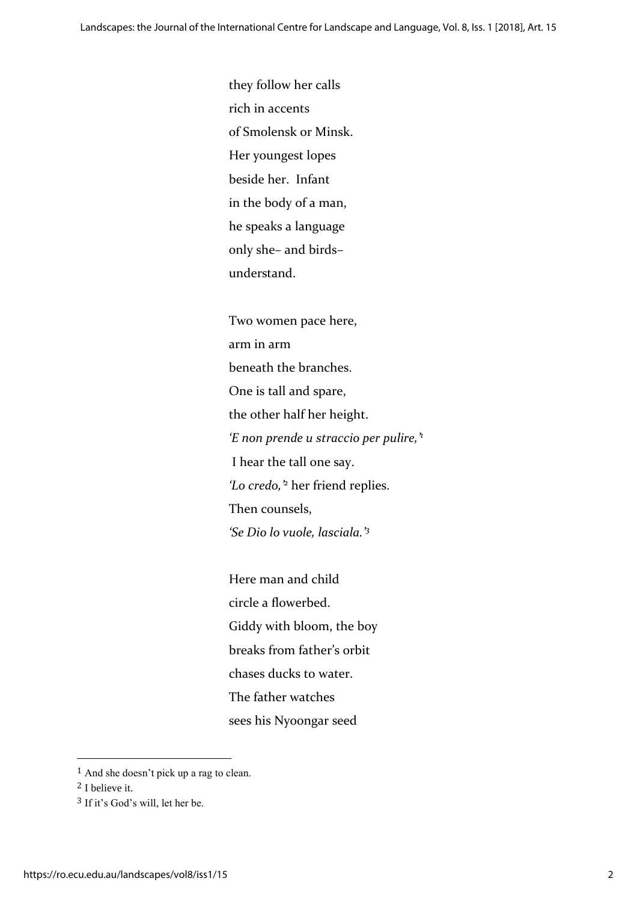they follow her calls rich in accents of Smolensk or Minsk. Her youngest lopes beside her. Infant in the body of a man, he speaks a language only she– and birds– understand.

Two women pace here, arm in arm beneath the branches. One is tall and spare, the other half her height. *'E non prende u straccio per pulire,'<sup>1</sup>* I hear the tall one say. *'Lo credo,'<sup>2</sup>* her friend replies. Then counsels, *'Se Dio lo vuole, lasciala.'<sup>3</sup>*

Here man and child circle a flowerbed. Giddy with bloom, the boy breaks from father's orbit chases ducks to water. The father watches sees his Nyoongar seed

 $\overline{\phantom{a}}$ 

<sup>1</sup> And she doesn't pick up a rag to clean.

<sup>2</sup> I believe it.

<sup>3</sup> If it's God's will, let her be.